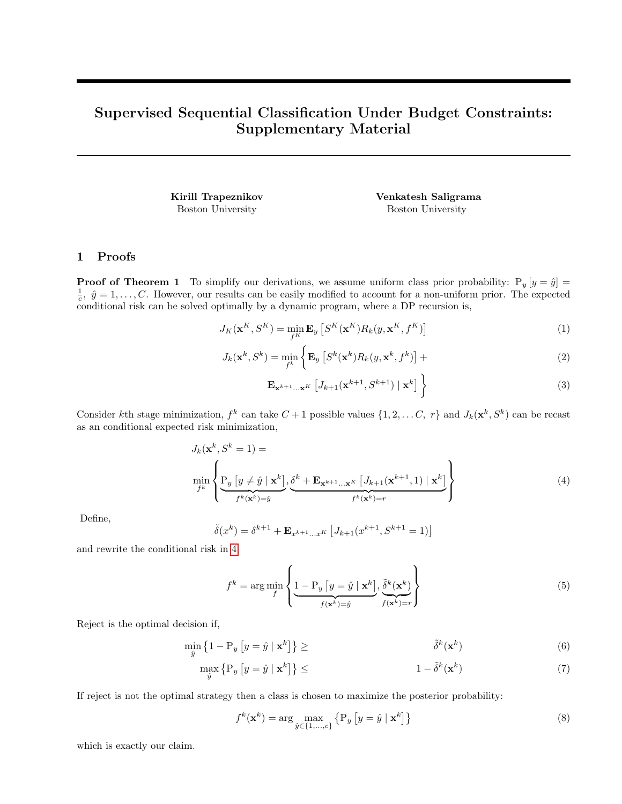## Supervised Sequential Classification Under Budget Constraints: Supplementary Material

Kirill Trapeznikov Venkatesh Saligrama Boston University Boston University

## 1 Proofs

**Proof of Theorem 1** To simplify our derivations, we assume uniform class prior probability:  $P_y[y = \hat{y}]$  $\frac{1}{c}$ ,  $\hat{y} = 1, \ldots, C$ . However, our results can be easily modified to account for a non-uniform prior. The expected conditional risk can be solved optimally by a dynamic program, where a DP recursion is,

$$
J_K(\mathbf{x}^K, S^K) = \min_{f^K} \mathbf{E}_y \left[ S^K(\mathbf{x}^K) R_k(y, \mathbf{x}^K, f^K) \right]
$$
(1)

$$
J_k(\mathbf{x}^k, S^k) = \min_{f^k} \left\{ \mathbf{E}_y \left[ S^k(\mathbf{x}^k) R_k(y, \mathbf{x}^k, f^k) \right] + \right\}
$$
 (2)

$$
\mathbf{E}_{\mathbf{x}^{k+1}\dots\mathbf{x}^{K}}\left[J_{k+1}(\mathbf{x}^{k+1},S^{k+1})\mid\mathbf{x}^{k}\right]\bigg\}\tag{3}
$$

Consider kth stage minimization,  $f^k$  can take  $C+1$  possible values  $\{1, 2, ..., C, r\}$  and  $J_k(\mathbf{x}^k, S^k)$  can be recast as an conditional expected risk minimization,

$$
J_k(\mathbf{x}^k, S^k = 1) = \n\min_{f^k} \left\{ \underbrace{\mathbf{P}_y \left[ y \neq \hat{y} \mid \mathbf{x}^k \right]}_{f^k(\mathbf{x}^k) = \hat{y}}, \underbrace{\delta^k + \mathbf{E}_{\mathbf{x}^{k+1}\cdots\mathbf{x}^K} \left[ J_{k+1}(\mathbf{x}^{k+1}, 1) \mid \mathbf{x}^k \right]}_{f^k(\mathbf{x}^k) = r} \right\}
$$
\n
$$
(4)
$$

Define,

$$
\tilde{\delta}(x^k) = \delta^{k+1} + \mathbf{E}_{x^{k+1}\dots x^K} \left[ J_{k+1}(x^{k+1}, S^{k+1} = 1) \right]
$$

and rewrite the conditional risk in 4,

$$
f^{k} = \arg\min_{f} \left\{ \underbrace{1 - \mathrm{P}_{y} \left[ y = \hat{y} \mid \mathbf{x}^{k} \right]}_{f(\mathbf{x}^{k}) = \hat{y}}, \underbrace{\tilde{\delta}^{k}(\mathbf{x}^{k})}_{f(\mathbf{x}^{k}) = r} \right\}
$$
\n
$$
(5)
$$

Reject is the optimal decision if,

$$
\min_{\hat{y}} \left\{ 1 - \mathcal{P}_y \left[ y = \hat{y} \mid \mathbf{x}^k \right] \right\} \ge \q \qquad \qquad \tilde{\delta}^k(\mathbf{x}^k) \tag{6}
$$

$$
\max_{\hat{y}} \left\{ \mathbf{P}_y \left[ y = \hat{y} \mid \mathbf{x}^k \right] \right\} \leq 1 - \tilde{\delta}^k(\mathbf{x}^k) \tag{7}
$$

If reject is not the optimal strategy then a class is chosen to maximize the posterior probability:

$$
f^{k}(\mathbf{x}^{k}) = \arg \max_{\hat{y} \in \{1, \dots, c\}} \left\{ \mathbf{P}_{y} \left[ y = \hat{y} \mid \mathbf{x}^{k} \right] \right\} \tag{8}
$$

which is exactly our claim.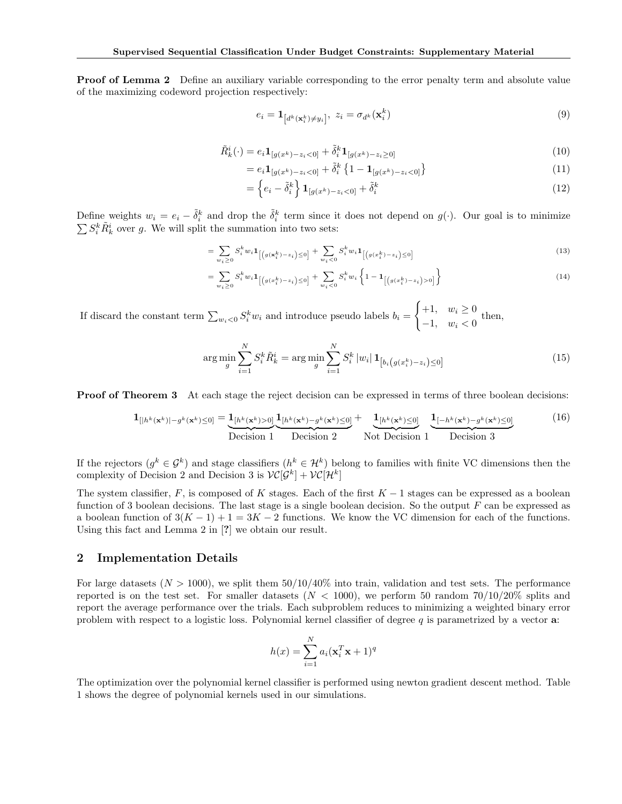**Proof of Lemma 2** Define an auxiliary variable corresponding to the error penalty term and absolute value of the maximizing codeword projection respectively:

$$
e_i = \mathbf{1}_{\left[d^k(\mathbf{x}_i^k) \neq y_i\right]}, \ z_i = \sigma_{d^k}(\mathbf{x}_i^k) \tag{9}
$$

$$
\tilde{R}_k^i(\cdot) = e_i \mathbf{1}_{[g(x^k) - z_i < 0]} + \tilde{\delta}_i^k \mathbf{1}_{[g(x^k) - z_i \ge 0]} \tag{10}
$$

$$
= e_i \mathbf{1}_{[g(x^k) - z_i < 0]} + \tilde{\delta}_i^k \left\{ 1 - \mathbf{1}_{[g(x^k) - z_i < 0]} \right\} \tag{11}
$$

$$
= \left\{ e_i - \tilde{\delta}_i^k \right\} \mathbf{1}_{[g(x^k) - z_i < 0]} + \tilde{\delta}_i^k \tag{12}
$$

Define weights  $w_i = e_i - \tilde{\delta}_i^k$  and drop the  $\tilde{\delta}_i^k$  term since it does not depend on  $g(\cdot)$ . Our goal is to minimize  $\sum S_i^k \tilde{R}_k^i$  over g. We will split the summation into two sets:

$$
= \sum_{w_i \ge 0} S_i^k w_i \mathbf{1}_{\left[ \left( g(\mathbf{x}_i^k) - z_i \right) \le 0 \right]} + \sum_{w_i < 0} S_i^k w_i \mathbf{1}_{\left[ \left( g(x_i^k) - z_i \right) \le 0 \right]} \tag{13}
$$

$$
= \sum_{w_i \ge 0} S_i^k w_i \mathbf{1}_{\left[ \left( g(x_i^k) - z_i \right) \le 0 \right]} + \sum_{w_i < 0} S_i^k w_i \left\{ 1 - \mathbf{1}_{\left[ \left( g(x_i^k) - z_i \right) > 0 \right]} \right\} \tag{14}
$$

If discard the constant term  $\sum_{w_i < 0} S_i^k w_i$  and introduce pseudo labels  $b_i =$  $\int +1$ ,  $w_i \geq 0$  $\begin{cases} -1, & w_i \leq 0 \\ -1, & w_i < 0 \end{cases}$  then,

$$
\arg\min_{g} \sum_{i=1}^{N} S_i^k \tilde{R}_k^i = \arg\min_{g} \sum_{i=1}^{N} S_i^k |w_i| \mathbf{1}_{\left[b_i(g(x_i^k) - z_i) \le 0\right]}
$$
(15)

**Proof of Theorem 3** At each stage the reject decision can be expressed in terms of three boolean decisions:

$$
\mathbf{1}_{[|h^k(\mathbf{x}^k)|-g^k(\mathbf{x}^k)\leq 0]} = \underbrace{\mathbf{1}_{[h^k(\mathbf{x}^k)>0]}}_{\text{Decision 1}} \underbrace{\mathbf{1}_{[h^k(\mathbf{x}^k)-g^k(\mathbf{x}^k)\leq 0]}}_{\text{Decision 2}} + \underbrace{\mathbf{1}_{[h^k(\mathbf{x}^k)\leq 0]}}_{\text{Not Decision 1}} \underbrace{\mathbf{1}_{[-h^k(\mathbf{x}^k)-g^k(\mathbf{x}^k)\leq 0]}}_{\text{Decision 3}}
$$
(16)

If the rejectors  $(g^k \in \mathcal{G}^k)$  and stage classifiers  $(h^k \in \mathcal{H}^k)$  belong to families with finite VC dimensions then the complexity of Decision 2 and Decision 3 is  $VC[\mathcal{G}^k] + VC[\mathcal{H}^k]$ 

The system classifier, F, is composed of K stages. Each of the first  $K - 1$  stages can be expressed as a boolean function of 3 boolean decisions. The last stage is a single boolean decision. So the output  $F$  can be expressed as a boolean function of  $3(K-1)+1=3K-2$  functions. We know the VC dimension for each of the functions. Using this fact and Lemma 2 in [?] we obtain our result.

## 2 Implementation Details

For large datasets ( $N > 1000$ ), we split them  $50/10/40\%$  into train, validation and test sets. The performance reported is on the test set. For smaller datasets ( $N < 1000$ ), we perform 50 random 70/10/20% splits and report the average performance over the trials. Each subproblem reduces to minimizing a weighted binary error problem with respect to a logistic loss. Polynomial kernel classifier of degree  $q$  is parametrized by a vector  $a$ :

$$
h(x) = \sum_{i=1}^{N} a_i (\mathbf{x}_i^T \mathbf{x} + 1)^q
$$

The optimization over the polynomial kernel classifier is performed using newton gradient descent method. Table 1 shows the degree of polynomial kernels used in our simulations.